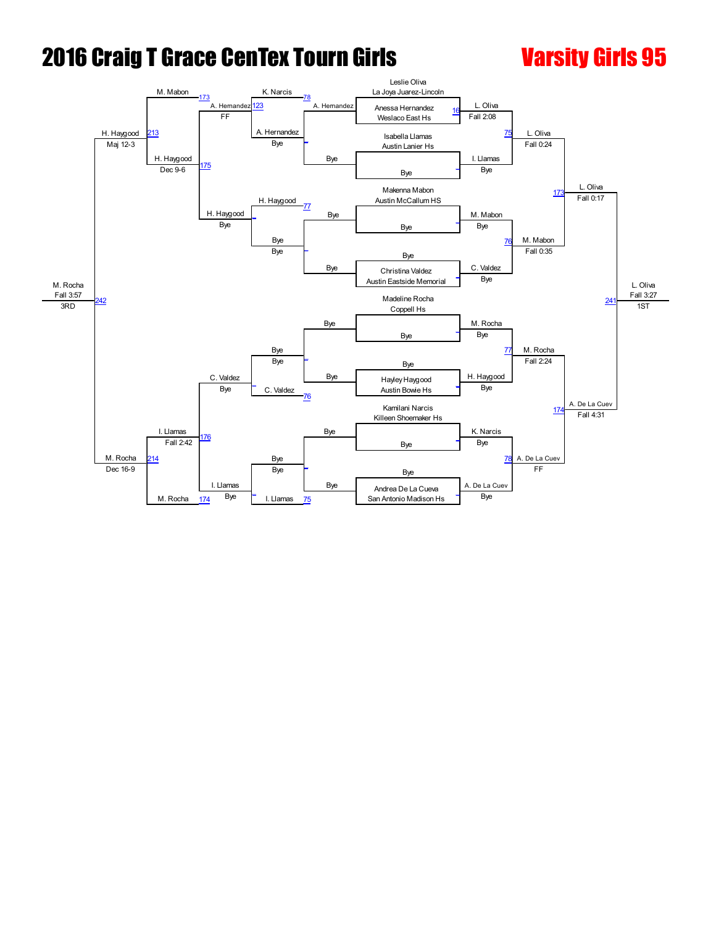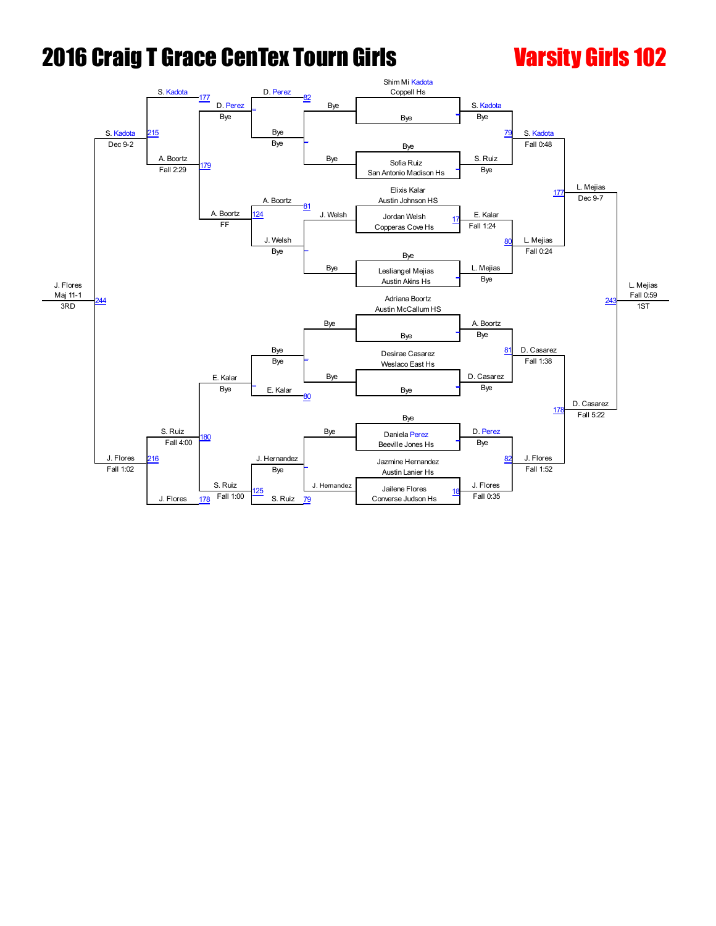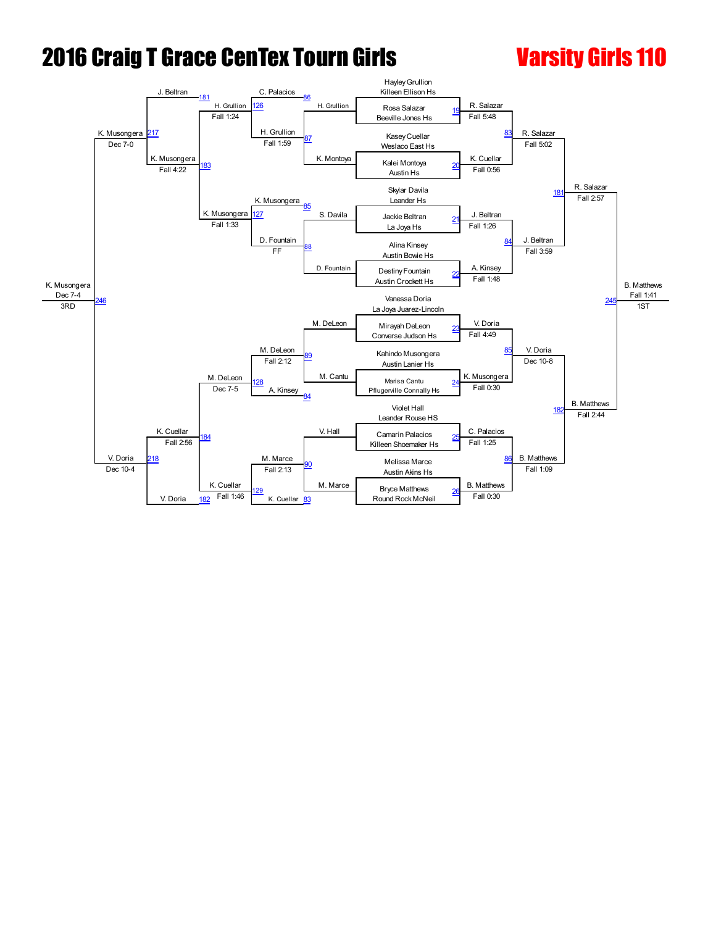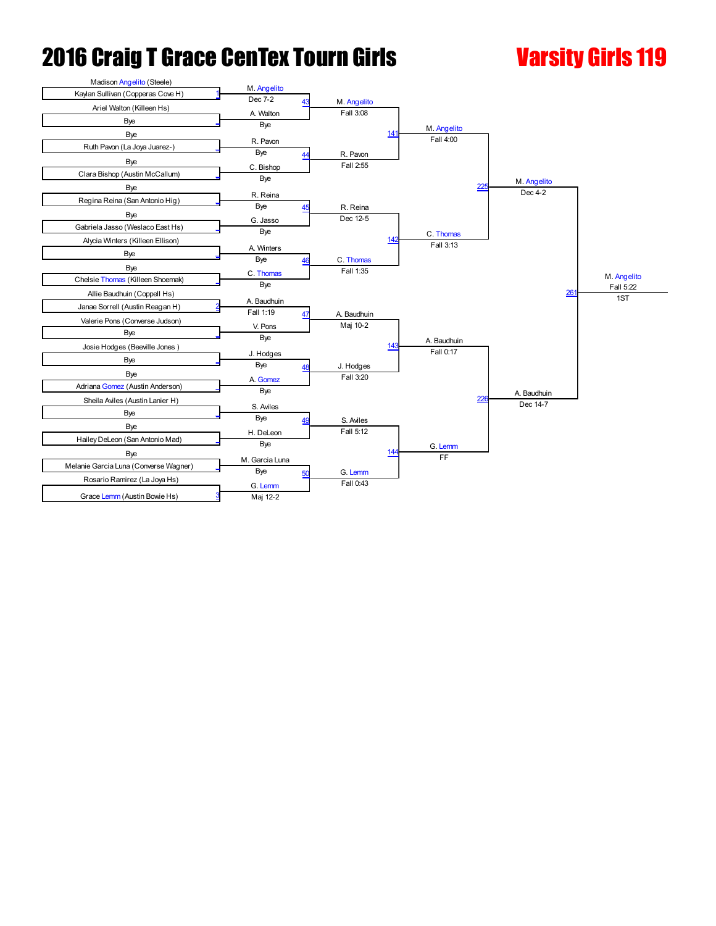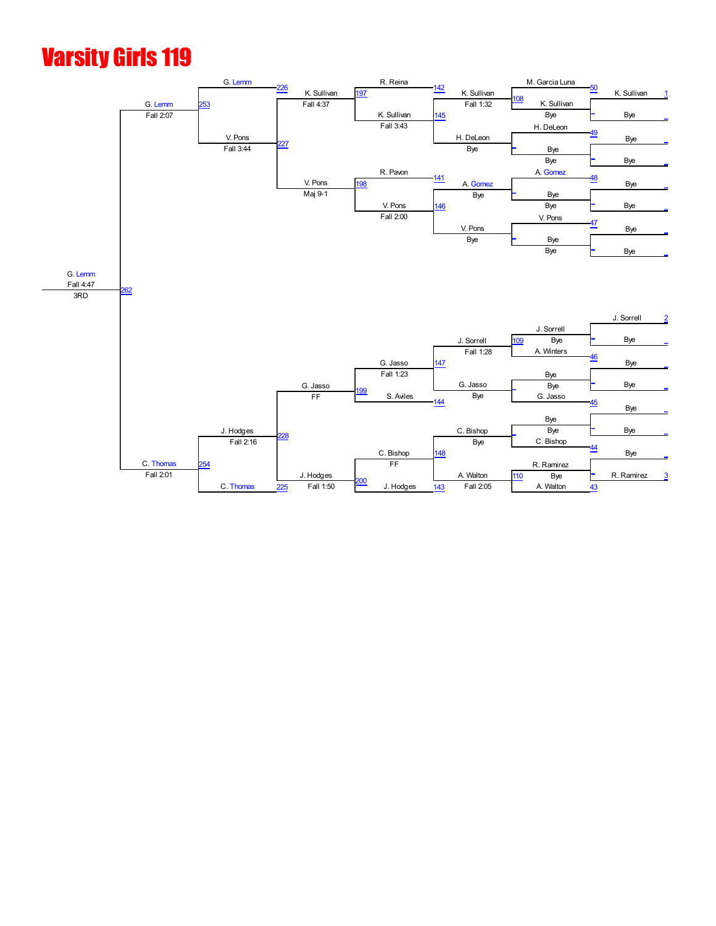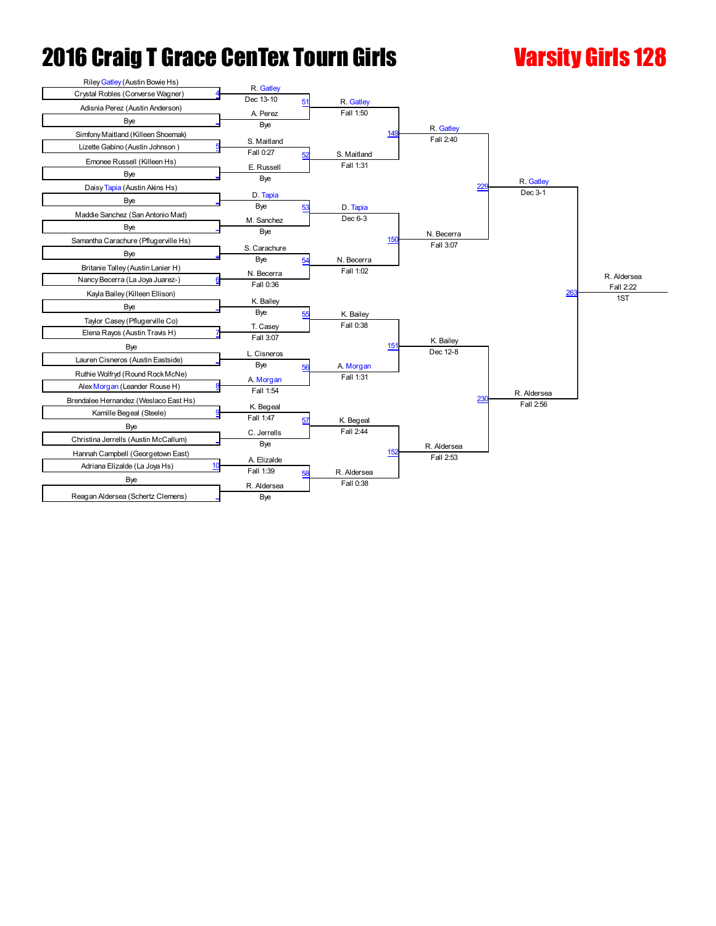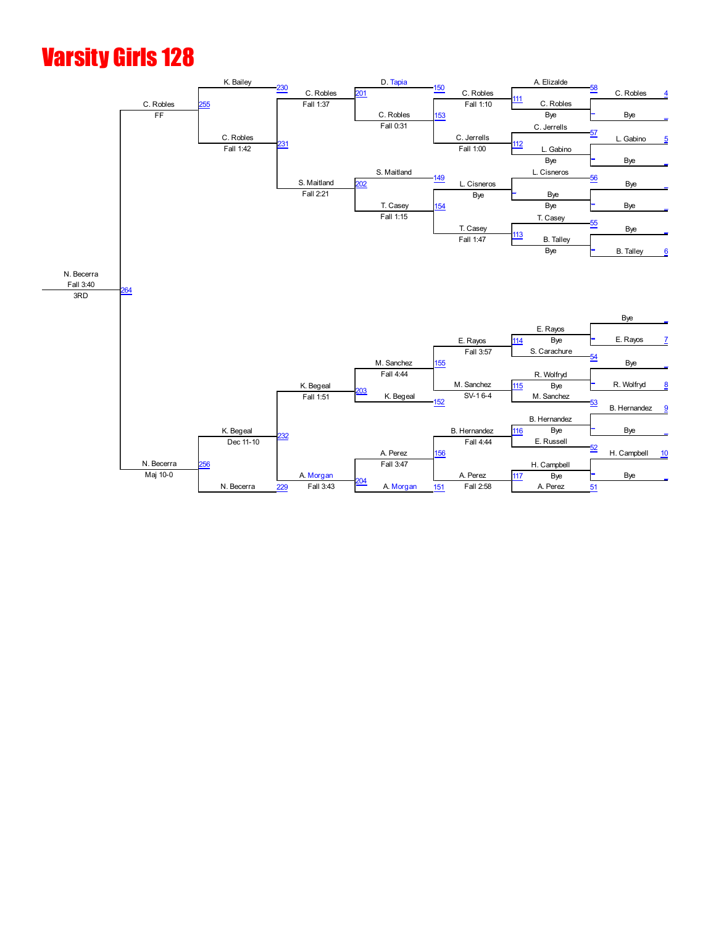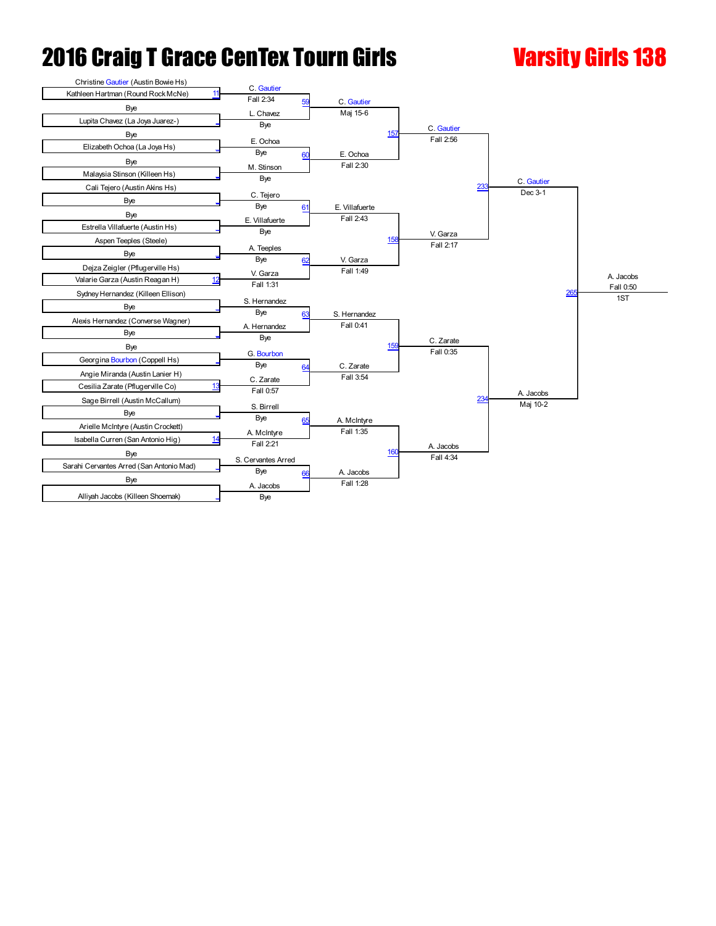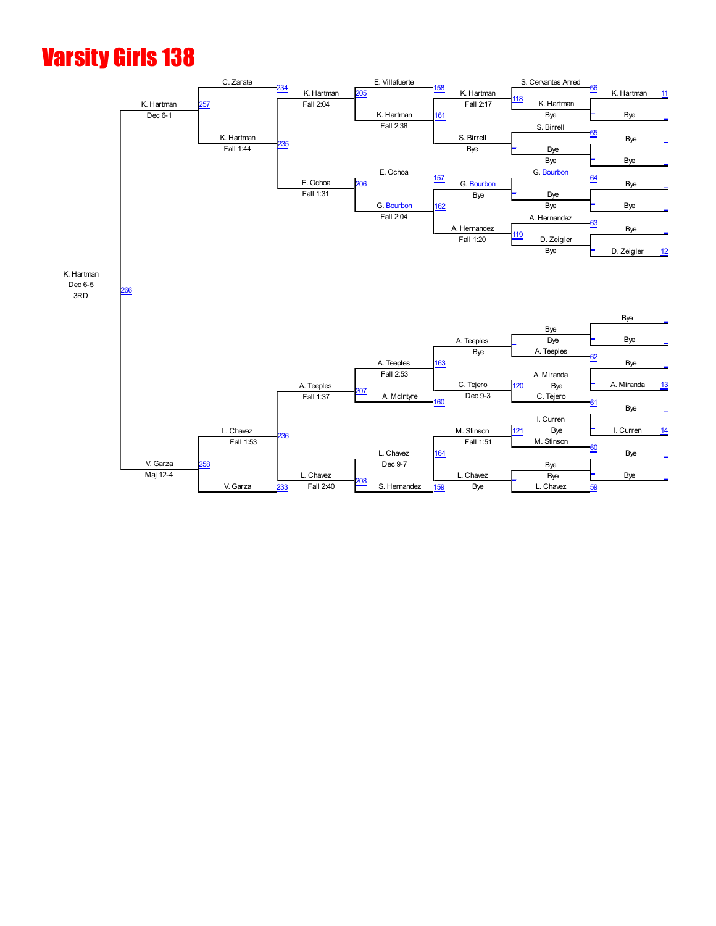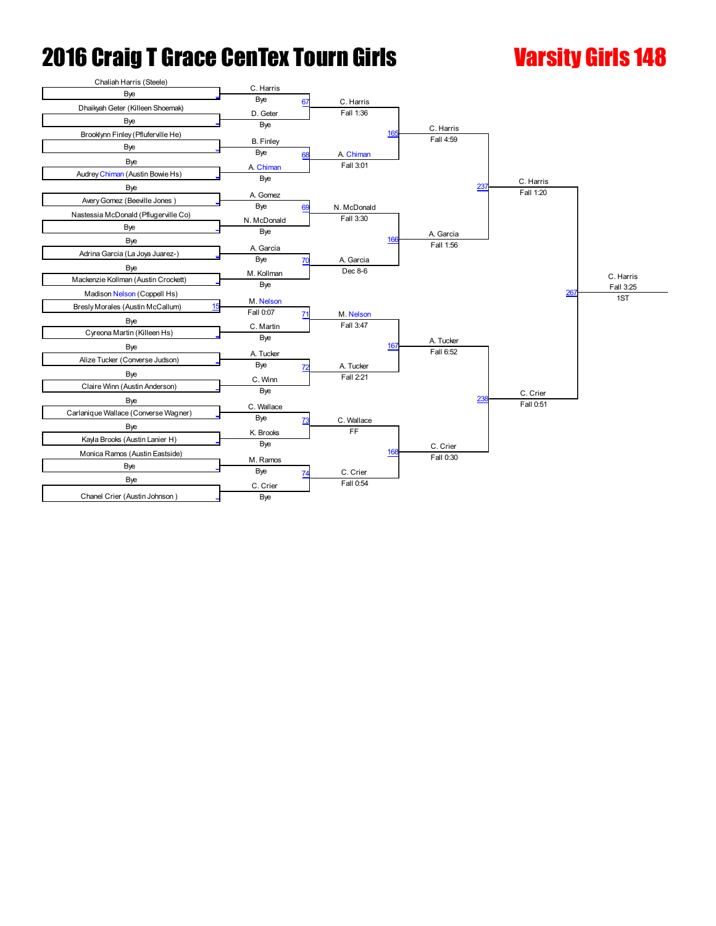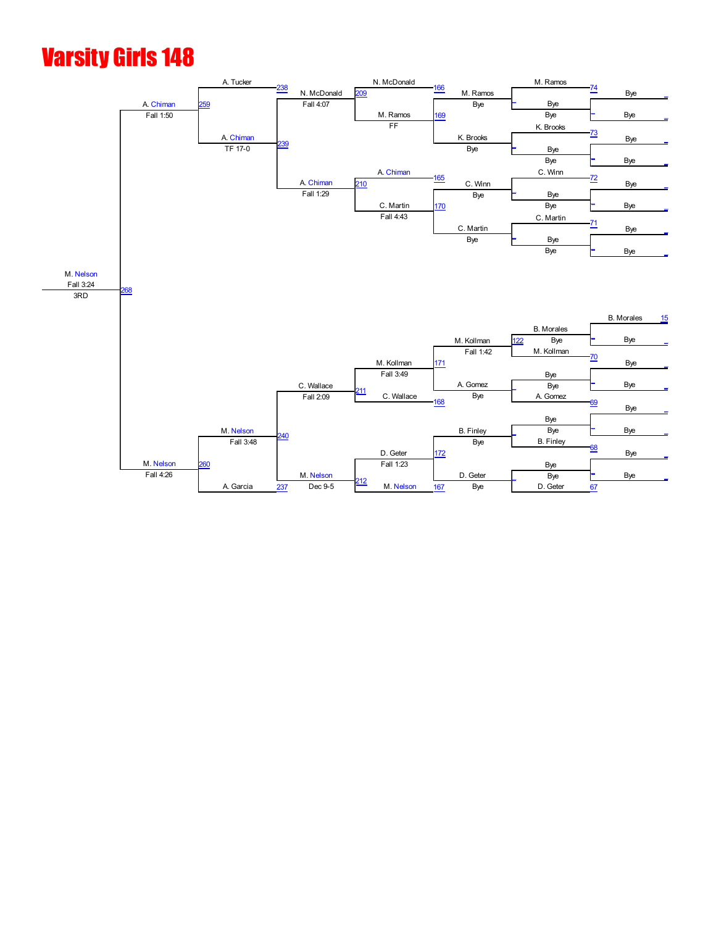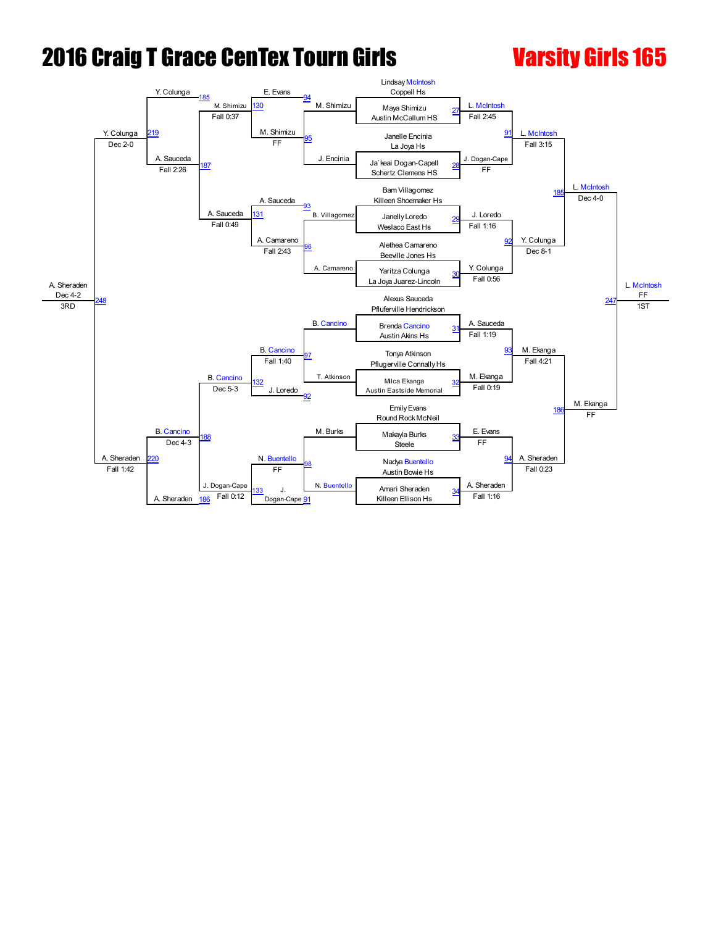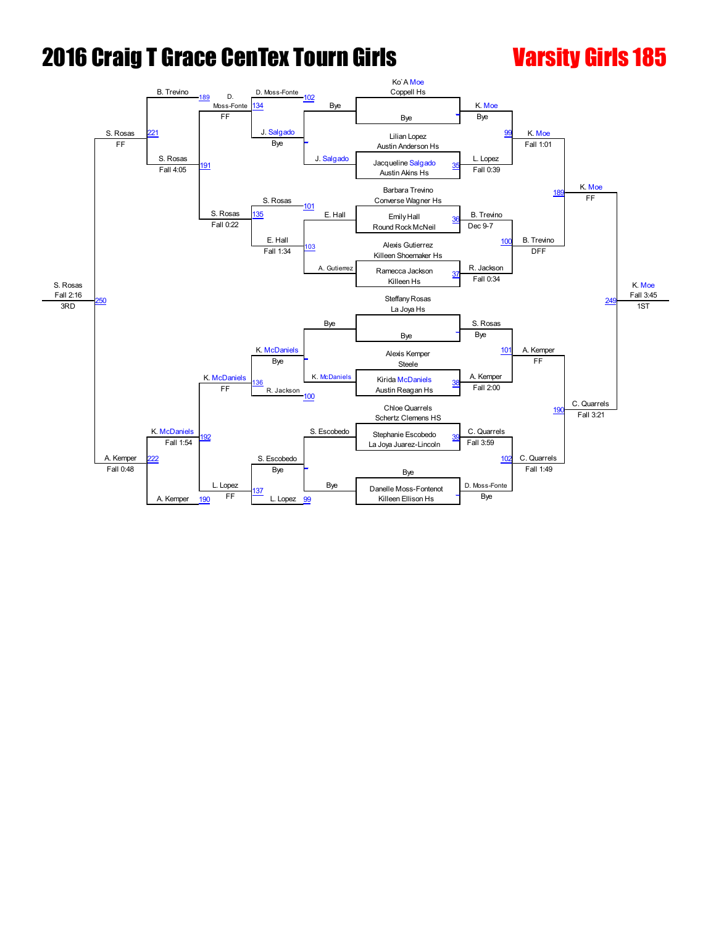![](_page_12_Figure_2.jpeg)